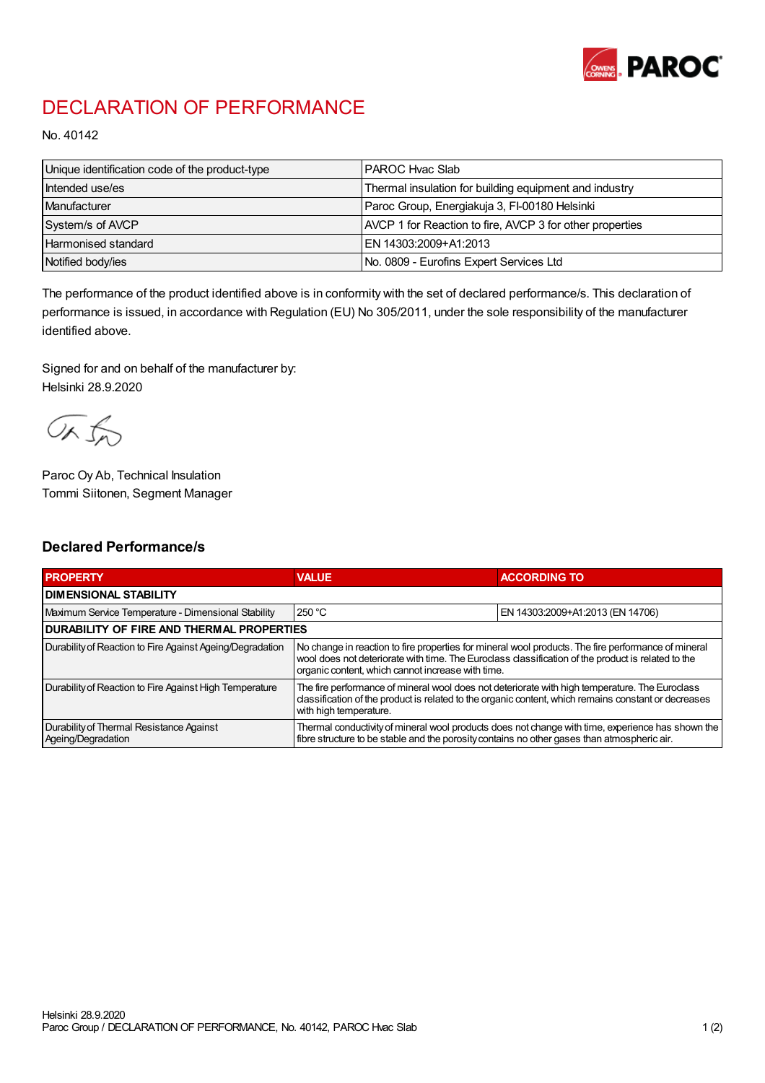

## DECLARATION OF PERFORMANCE

No. 40142

| Unique identification code of the product-type | PAROC Hvac Slab                                          |
|------------------------------------------------|----------------------------------------------------------|
| Intended use/es                                | Thermal insulation for building equipment and industry   |
| Manufacturer                                   | Paroc Group, Energiakuja 3, FI-00180 Helsinki            |
| System/s of AVCP                               | AVCP 1 for Reaction to fire, AVCP 3 for other properties |
| <b>Harmonised standard</b>                     | EN 14303:2009+A1:2013                                    |
| Notified body/ies                              | No. 0809 - Eurofins Expert Services Ltd                  |

The performance of the product identified above is in conformity with the set of declared performance/s. This declaration of performance is issued, in accordance with Regulation (EU) No 305/2011, under the sole responsibility of the manufacturer identified above.

Signed for and on behalf of the manufacturer by: Helsinki 28.9.2020

ORJO

Paroc Oy Ab, Technical Insulation Tommi Siitonen, Segment Manager

## Declared Performance/s

| <b>PROPERTY</b>                                                | <b>VALUE</b>                                                                                                                                                                                                                                                   | <b>ACCORDING TO</b>              |  |
|----------------------------------------------------------------|----------------------------------------------------------------------------------------------------------------------------------------------------------------------------------------------------------------------------------------------------------------|----------------------------------|--|
| <b>I DIMENSIONAL STABILITY</b>                                 |                                                                                                                                                                                                                                                                |                                  |  |
| Maximum Service Temperature - Dimensional Stability            | 250 °C                                                                                                                                                                                                                                                         | EN 14303:2009+A1:2013 (EN 14706) |  |
| <b>DURABILITY OF FIRE AND THERMAL PROPERTIES</b>               |                                                                                                                                                                                                                                                                |                                  |  |
| Durability of Reaction to Fire Against Ageing/Degradation      | No change in reaction to fire properties for mineral wool products. The fire performance of mineral<br>wool does not deteriorate with time. The Euroclass classification of the product is related to the<br>organic content, which cannot increase with time. |                                  |  |
| Durability of Reaction to Fire Against High Temperature        | The fire performance of mineral wool does not deteriorate with high temperature. The Euroclass<br>classification of the product is related to the organic content, which remains constant or decreases<br>with high temperature.                               |                                  |  |
| Durability of Thermal Resistance Against<br>Ageing/Degradation | Thermal conductivity of mineral wool products does not change with time, experience has shown the<br>fibre structure to be stable and the porosity contains no other gases than atmospheric air.                                                               |                                  |  |